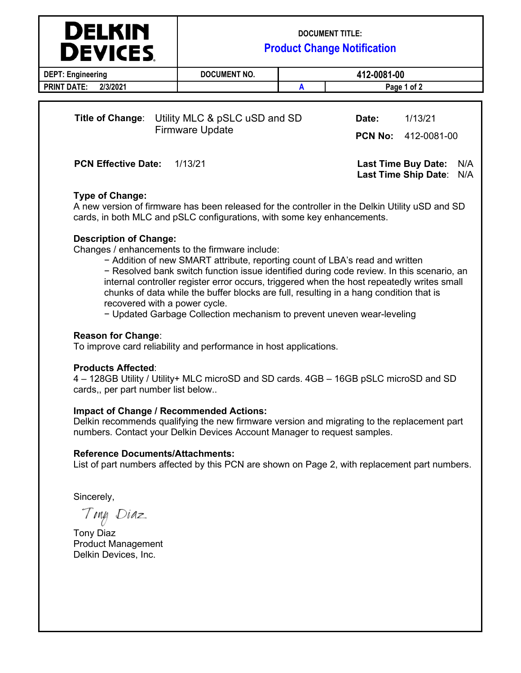| <b>DELKIN</b><br><b>DEVICES</b>                                                    | <b>DOCUMENT TITLE:</b><br><b>Product Change Notification</b> |                         |                        |                                   |
|------------------------------------------------------------------------------------|--------------------------------------------------------------|-------------------------|------------------------|-----------------------------------|
| <b>DEPT: Engineering</b>                                                           | <b>DOCUMENT NO.</b>                                          |                         | 412-0081-00            |                                   |
| <b>PRINT DATE:</b><br>2/3/2021                                                     |                                                              | А                       | Page 1 of 2            |                                   |
| <b>Title of Change:</b><br>Utility MLC & pSLC uSD and SD<br><b>Firmware Update</b> |                                                              | Date:<br><b>PCN No:</b> | 1/13/21<br>412-0081-00 |                                   |
| <b>PCN Effective Date:</b>                                                         | 1/13/21                                                      |                         |                        | <b>Last Time Buy Date:</b><br>N/A |

# **Type of Change:**

A new version of firmware has been released for the controller in the Delkin Utility uSD and SD cards, in both MLC and pSLC configurations, with some key enhancements.

### **Description of Change:**

Changes / enhancements to the firmware include:

− Addition of new SMART attribute, reporting count of LBA's read and written

− Resolved bank switch function issue identified during code review. In this scenario, an internal controller register error occurs, triggered when the host repeatedly writes small chunks of data while the buffer blocks are full, resulting in a hang condition that is recovered with a power cycle.

**Last Time Ship Date**: N/A

− Updated Garbage Collection mechanism to prevent uneven wear-leveling

## **Reason for Change**:

To improve card reliability and performance in host applications.

#### **Products Affected**:

4 – 128GB Utility / Utility+ MLC microSD and SD cards. 4GB – 16GB pSLC microSD and SD cards,, per part number list below..

### **Impact of Change / Recommended Actions:**

Delkin recommends qualifying the new firmware version and migrating to the replacement part numbers. Contact your Delkin Devices Account Manager to request samples.

#### **Reference Documents/Attachments:**

List of part numbers affected by this PCN are shown on Page 2, with replacement part numbers.

Sincerely,

Ting Diaz

Tony Diaz Product Management Delkin Devices, Inc.